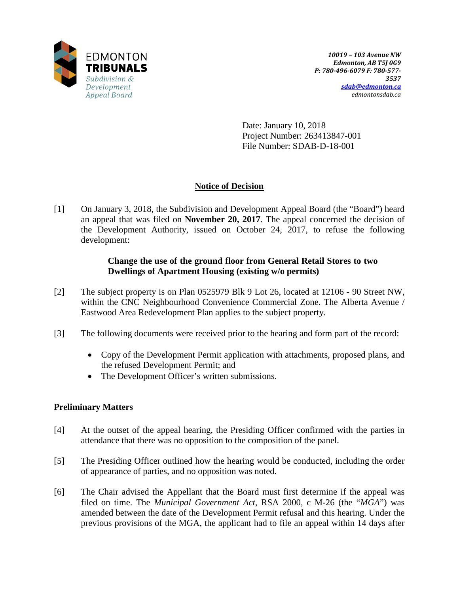

Date: January 10, 2018 Project Number: 263413847-001 File Number: SDAB-D-18-001

# **Notice of Decision**

[1] On January 3, 2018, the Subdivision and Development Appeal Board (the "Board") heard an appeal that was filed on **November 20, 2017**. The appeal concerned the decision of the Development Authority, issued on October 24, 2017, to refuse the following development:

## **Change the use of the ground floor from General Retail Stores to two Dwellings of Apartment Housing (existing w/o permits)**

- [2] The subject property is on Plan 0525979 Blk 9 Lot 26, located at 12106 90 Street NW, within the CNC Neighbourhood Convenience Commercial Zone. The Alberta Avenue / Eastwood Area Redevelopment Plan applies to the subject property.
- [3] The following documents were received prior to the hearing and form part of the record:
	- Copy of the Development Permit application with attachments, proposed plans, and the refused Development Permit; and
	- The Development Officer's written submissions.

## **Preliminary Matters**

- [4] At the outset of the appeal hearing, the Presiding Officer confirmed with the parties in attendance that there was no opposition to the composition of the panel.
- [5] The Presiding Officer outlined how the hearing would be conducted, including the order of appearance of parties, and no opposition was noted.
- [6] The Chair advised the Appellant that the Board must first determine if the appeal was filed on time. The *Municipal Government Act*, RSA 2000, c M-26 (the "*MGA*") was amended between the date of the Development Permit refusal and this hearing. Under the previous provisions of the MGA, the applicant had to file an appeal within 14 days after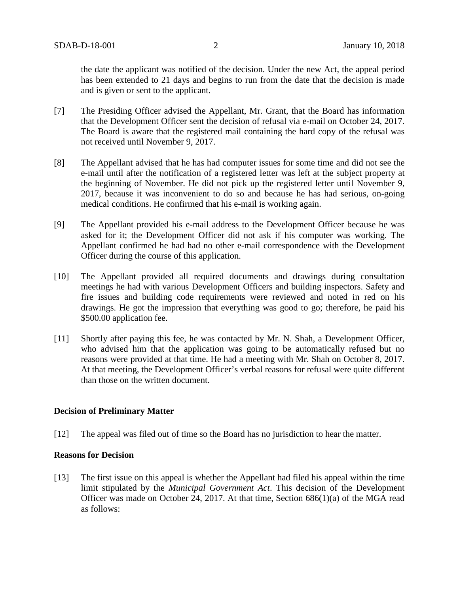the date the applicant was notified of the decision. Under the new Act, the appeal period has been extended to 21 days and begins to run from the date that the decision is made and is given or sent to the applicant.

- [7] The Presiding Officer advised the Appellant, Mr. Grant, that the Board has information that the Development Officer sent the decision of refusal via e-mail on October 24, 2017. The Board is aware that the registered mail containing the hard copy of the refusal was not received until November 9, 2017.
- [8] The Appellant advised that he has had computer issues for some time and did not see the e-mail until after the notification of a registered letter was left at the subject property at the beginning of November. He did not pick up the registered letter until November 9, 2017, because it was inconvenient to do so and because he has had serious, on-going medical conditions. He confirmed that his e-mail is working again.
- [9] The Appellant provided his e-mail address to the Development Officer because he was asked for it; the Development Officer did not ask if his computer was working. The Appellant confirmed he had had no other e-mail correspondence with the Development Officer during the course of this application.
- [10] The Appellant provided all required documents and drawings during consultation meetings he had with various Development Officers and building inspectors. Safety and fire issues and building code requirements were reviewed and noted in red on his drawings. He got the impression that everything was good to go; therefore, he paid his \$500.00 application fee.
- [11] Shortly after paying this fee, he was contacted by Mr. N. Shah, a Development Officer, who advised him that the application was going to be automatically refused but no reasons were provided at that time. He had a meeting with Mr. Shah on October 8, 2017. At that meeting, the Development Officer's verbal reasons for refusal were quite different than those on the written document.

## **Decision of Preliminary Matter**

[12] The appeal was filed out of time so the Board has no jurisdiction to hear the matter.

#### **Reasons for Decision**

[13] The first issue on this appeal is whether the Appellant had filed his appeal within the time limit stipulated by the *Municipal Government Act*. This decision of the Development Officer was made on October 24, 2017. At that time, Section 686(1)(a) of the MGA read as follows: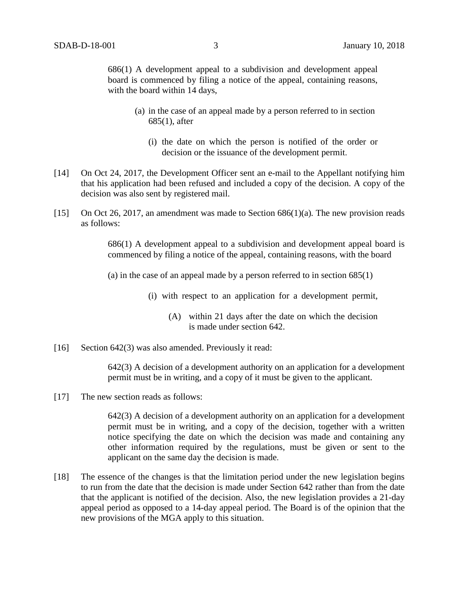686(1) A development appeal to a subdivision and development appeal board is commenced by filing a notice of the appeal, containing reasons, with the board within 14 days,

- (a) in the case of an appeal made by a person referred to in section 685(1), after
	- (i) the date on which the person is notified of the order or decision or the issuance of the development permit.
- [14] On Oct 24, 2017, the Development Officer sent an e-mail to the Appellant notifying him that his application had been refused and included a copy of the decision. A copy of the decision was also sent by registered mail.
- [15] On Oct 26, 2017, an amendment was made to Section 686(1)(a)*.* The new provision reads as follows:

686(1) A development appeal to a subdivision and development appeal board is commenced by filing a notice of the appeal, containing reasons, with the board

(a) in the case of an appeal made by a person referred to in section  $685(1)$ 

(i) with respect to an application for a development permit,

- (A) within 21 days after the date on which the decision is made under section 642.
- [16] Section 642(3) was also amended. Previously it read:

642(3) A decision of a development authority on an application for a development permit must be in writing, and a copy of it must be given to the applicant.

[17] The new section reads as follows:

642(3) A decision of a development authority on an application for a development permit must be in writing, and a copy of the decision, together with a written notice specifying the date on which the decision was made and containing any other information required by the regulations, must be given or sent to the applicant on the same day the decision is made.

[18] The essence of the changes is that the limitation period under the new legislation begins to run from the date that the decision is made under Section 642 rather than from the date that the applicant is notified of the decision. Also, the new legislation provides a 21-day appeal period as opposed to a 14-day appeal period. The Board is of the opinion that the new provisions of the MGA apply to this situation.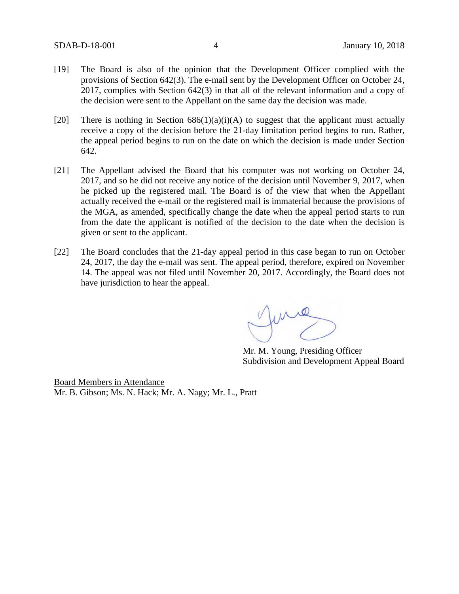- [19] The Board is also of the opinion that the Development Officer complied with the provisions of Section 642(3). The e-mail sent by the Development Officer on October 24, 2017, complies with Section 642(3) in that all of the relevant information and a copy of the decision were sent to the Appellant on the same day the decision was made.
- [20] There is nothing in Section  $686(1)(a)(i)(A)$  to suggest that the applicant must actually receive a copy of the decision before the 21-day limitation period begins to run. Rather, the appeal period begins to run on the date on which the decision is made under Section 642.
- [21] The Appellant advised the Board that his computer was not working on October 24, 2017, and so he did not receive any notice of the decision until November 9, 2017, when he picked up the registered mail. The Board is of the view that when the Appellant actually received the e-mail or the registered mail is immaterial because the provisions of the MGA, as amended, specifically change the date when the appeal period starts to run from the date the applicant is notified of the decision to the date when the decision is given or sent to the applicant.
- [22] The Board concludes that the 21-day appeal period in this case began to run on October 24, 2017, the day the e-mail was sent. The appeal period, therefore, expired on November 14. The appeal was not filed until November 20, 2017. Accordingly, the Board does not have jurisdiction to hear the appeal.

Mr. M. Young, Presiding Officer Subdivision and Development Appeal Board

Board Members in Attendance Mr. B. Gibson; Ms. N. Hack; Mr. A. Nagy; Mr. L., Pratt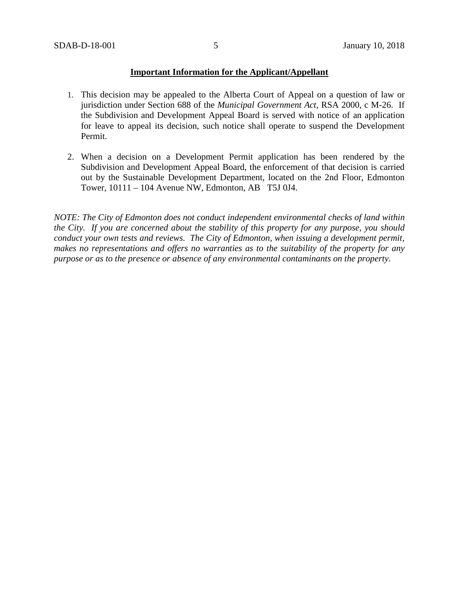## **Important Information for the Applicant/Appellant**

- 1. This decision may be appealed to the Alberta Court of Appeal on a question of law or jurisdiction under Section 688 of the *Municipal Government Act*, RSA 2000, c M-26. If the Subdivision and Development Appeal Board is served with notice of an application for leave to appeal its decision, such notice shall operate to suspend the Development Permit.
- 2. When a decision on a Development Permit application has been rendered by the Subdivision and Development Appeal Board, the enforcement of that decision is carried out by the Sustainable Development Department, located on the 2nd Floor, Edmonton Tower, 10111 – 104 Avenue NW, Edmonton, AB T5J 0J4.

*NOTE: The City of Edmonton does not conduct independent environmental checks of land within the City. If you are concerned about the stability of this property for any purpose, you should conduct your own tests and reviews. The City of Edmonton, when issuing a development permit, makes no representations and offers no warranties as to the suitability of the property for any purpose or as to the presence or absence of any environmental contaminants on the property.*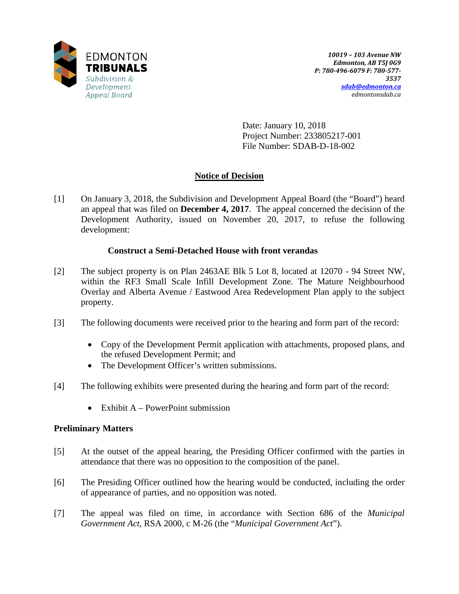

Date: January 10, 2018 Project Number: 233805217-001 File Number: SDAB-D-18-002

# **Notice of Decision**

[1] On January 3, 2018, the Subdivision and Development Appeal Board (the "Board") heard an appeal that was filed on **December 4, 2017**. The appeal concerned the decision of the Development Authority, issued on November 20, 2017, to refuse the following development:

## **Construct a Semi-Detached House with front verandas**

- [2] The subject property is on Plan 2463AE Blk 5 Lot 8, located at 12070 94 Street NW, within the RF3 Small Scale Infill Development Zone. The Mature Neighbourhood Overlay and Alberta Avenue / Eastwood Area Redevelopment Plan apply to the subject property.
- [3] The following documents were received prior to the hearing and form part of the record:
	- Copy of the Development Permit application with attachments, proposed plans, and the refused Development Permit; and
	- The Development Officer's written submissions.
- [4] The following exhibits were presented during the hearing and form part of the record:
	- Exhibit  $A PowerPoint$  submission

## **Preliminary Matters**

- [5] At the outset of the appeal hearing, the Presiding Officer confirmed with the parties in attendance that there was no opposition to the composition of the panel.
- [6] The Presiding Officer outlined how the hearing would be conducted, including the order of appearance of parties, and no opposition was noted.
- [7] The appeal was filed on time, in accordance with Section 686 of the *Municipal Government Act*, RSA 2000, c M-26 (the "*Municipal Government Act*").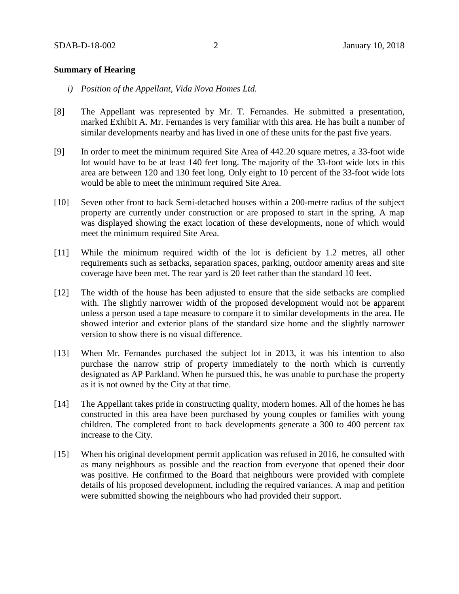#### **Summary of Hearing**

- *i) Position of the Appellant, Vida Nova Homes Ltd.*
- [8] The Appellant was represented by Mr. T. Fernandes. He submitted a presentation, marked Exhibit A. Mr. Fernandes is very familiar with this area. He has built a number of similar developments nearby and has lived in one of these units for the past five years.
- [9] In order to meet the minimum required Site Area of 442.20 square metres, a 33-foot wide lot would have to be at least 140 feet long. The majority of the 33-foot wide lots in this area are between 120 and 130 feet long. Only eight to 10 percent of the 33-foot wide lots would be able to meet the minimum required Site Area.
- [10] Seven other front to back Semi-detached houses within a 200-metre radius of the subject property are currently under construction or are proposed to start in the spring. A map was displayed showing the exact location of these developments, none of which would meet the minimum required Site Area.
- [11] While the minimum required width of the lot is deficient by 1.2 metres, all other requirements such as setbacks, separation spaces, parking, outdoor amenity areas and site coverage have been met. The rear yard is 20 feet rather than the standard 10 feet.
- [12] The width of the house has been adjusted to ensure that the side setbacks are complied with. The slightly narrower width of the proposed development would not be apparent unless a person used a tape measure to compare it to similar developments in the area. He showed interior and exterior plans of the standard size home and the slightly narrower version to show there is no visual difference.
- [13] When Mr. Fernandes purchased the subject lot in 2013, it was his intention to also purchase the narrow strip of property immediately to the north which is currently designated as AP Parkland. When he pursued this, he was unable to purchase the property as it is not owned by the City at that time.
- [14] The Appellant takes pride in constructing quality, modern homes. All of the homes he has constructed in this area have been purchased by young couples or families with young children. The completed front to back developments generate a 300 to 400 percent tax increase to the City.
- [15] When his original development permit application was refused in 2016, he consulted with as many neighbours as possible and the reaction from everyone that opened their door was positive. He confirmed to the Board that neighbours were provided with complete details of his proposed development, including the required variances. A map and petition were submitted showing the neighbours who had provided their support.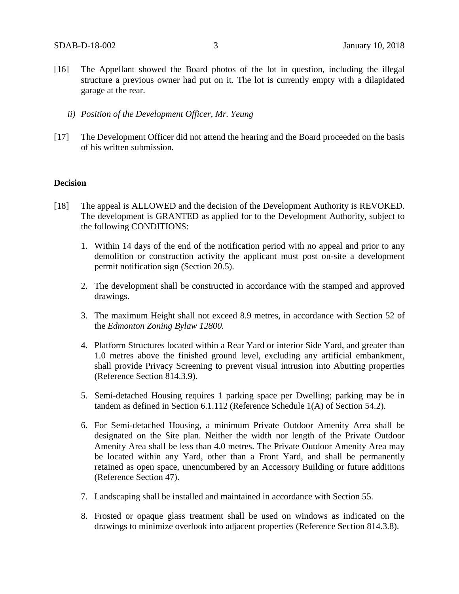- [16] The Appellant showed the Board photos of the lot in question, including the illegal structure a previous owner had put on it. The lot is currently empty with a dilapidated garage at the rear.
	- *ii) Position of the Development Officer, Mr. Yeung*
- [17] The Development Officer did not attend the hearing and the Board proceeded on the basis of his written submission.

### **Decision**

- [18] The appeal is ALLOWED and the decision of the Development Authority is REVOKED. The development is GRANTED as applied for to the Development Authority, subject to the following CONDITIONS:
	- 1. Within 14 days of the end of the notification period with no appeal and prior to any demolition or construction activity the applicant must post on-site a development permit notification sign (Section 20.5).
	- 2. The development shall be constructed in accordance with the stamped and approved drawings.
	- 3. The maximum Height shall not exceed 8.9 metres, in accordance with Section 52 of the *Edmonton Zoning Bylaw 12800.*
	- 4. Platform Structures located within a Rear Yard or interior Side Yard, and greater than 1.0 metres above the finished ground level, excluding any artificial embankment, shall provide Privacy Screening to prevent visual intrusion into Abutting properties (Reference Section 814.3.9).
	- 5. Semi-detached Housing requires 1 parking space per Dwelling; parking may be in tandem as defined in Section 6.1.112 (Reference Schedule 1(A) of Section 54.2).
	- 6. For Semi-detached Housing, a minimum Private Outdoor Amenity Area shall be designated on the Site plan. Neither the width nor length of the Private Outdoor Amenity Area shall be less than 4.0 metres. The Private Outdoor Amenity Area may be located within any Yard, other than a Front Yard, and shall be permanently retained as open space, unencumbered by an Accessory Building or future additions (Reference Section 47).
	- 7. Landscaping shall be installed and maintained in accordance with Section 55.
	- 8. Frosted or opaque glass treatment shall be used on windows as indicated on the drawings to minimize overlook into adjacent properties (Reference Section 814.3.8).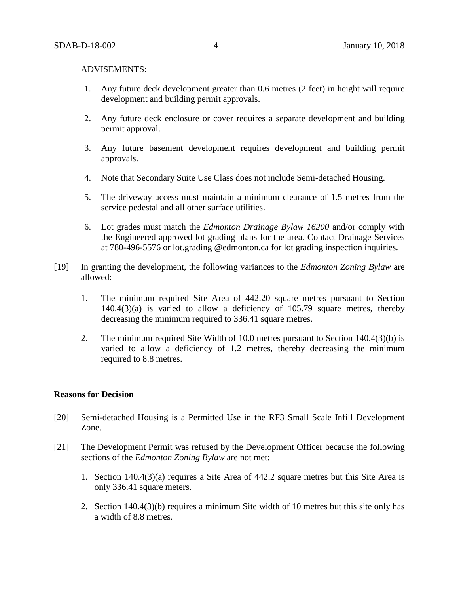#### ADVISEMENTS:

- 1. Any future deck development greater than 0.6 metres (2 feet) in height will require development and building permit approvals.
- 2. Any future deck enclosure or cover requires a separate development and building permit approval.
- 3. Any future basement development requires development and building permit approvals.
- 4. Note that Secondary Suite Use Class does not include Semi-detached Housing.
- 5. The driveway access must maintain a minimum clearance of 1.5 metres from the service pedestal and all other surface utilities.
- 6. Lot grades must match the *Edmonton Drainage Bylaw 16200* and/or comply with the Engineered approved lot grading plans for the area. Contact Drainage Services at 780-496-5576 or lot.grading @edmonton.ca for lot grading inspection inquiries.
- [19] In granting the development, the following variances to the *Edmonton Zoning Bylaw* are allowed:
	- 1. The minimum required Site Area of 442.20 square metres pursuant to Section 140.4(3)(a) is varied to allow a deficiency of 105.79 square metres, thereby decreasing the minimum required to 336.41 square metres.
	- 2. The minimum required Site Width of 10.0 metres pursuant to Section 140.4(3)(b) is varied to allow a deficiency of 1.2 metres, thereby decreasing the minimum required to 8.8 metres.

#### **Reasons for Decision**

- [20] Semi-detached Housing is a Permitted Use in the RF3 Small Scale Infill Development Zone.
- [21] The Development Permit was refused by the Development Officer because the following sections of the *Edmonton Zoning Bylaw* are not met:
	- 1. Section 140.4(3)(a) requires a Site Area of 442.2 square metres but this Site Area is only 336.41 square meters.
	- 2. Section 140.4(3)(b) requires a minimum Site width of 10 metres but this site only has a width of 8.8 metres.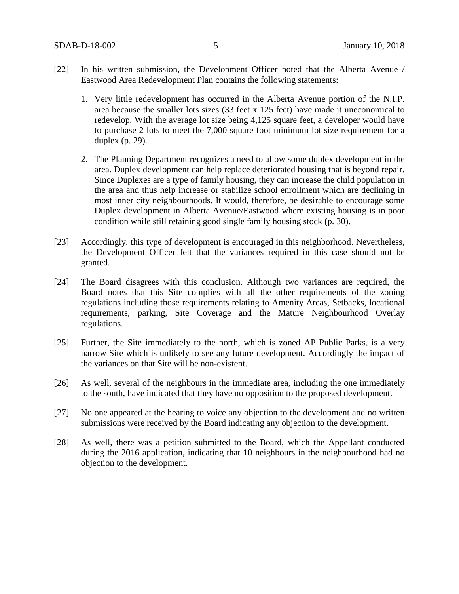- [22] In his written submission, the Development Officer noted that the Alberta Avenue / Eastwood Area Redevelopment Plan contains the following statements:
	- 1. Very little redevelopment has occurred in the Alberta Avenue portion of the N.I.P. area because the smaller lots sizes (33 feet x 125 feet) have made it uneconomical to redevelop. With the average lot size being 4,125 square feet, a developer would have to purchase 2 lots to meet the 7,000 square foot minimum lot size requirement for a duplex (p. 29).
	- 2. The Planning Department recognizes a need to allow some duplex development in the area. Duplex development can help replace deteriorated housing that is beyond repair. Since Duplexes are a type of family housing, they can increase the child population in the area and thus help increase or stabilize school enrollment which are declining in most inner city neighbourhoods. It would, therefore, be desirable to encourage some Duplex development in Alberta Avenue/Eastwood where existing housing is in poor condition while still retaining good single family housing stock (p. 30).
- [23] Accordingly, this type of development is encouraged in this neighborhood. Nevertheless, the Development Officer felt that the variances required in this case should not be granted.
- [24] The Board disagrees with this conclusion. Although two variances are required, the Board notes that this Site complies with all the other requirements of the zoning regulations including those requirements relating to Amenity Areas, Setbacks, locational requirements, parking, Site Coverage and the Mature Neighbourhood Overlay regulations.
- [25] Further, the Site immediately to the north, which is zoned AP Public Parks, is a very narrow Site which is unlikely to see any future development. Accordingly the impact of the variances on that Site will be non-existent.
- [26] As well, several of the neighbours in the immediate area, including the one immediately to the south, have indicated that they have no opposition to the proposed development.
- [27] No one appeared at the hearing to voice any objection to the development and no written submissions were received by the Board indicating any objection to the development.
- [28] As well, there was a petition submitted to the Board, which the Appellant conducted during the 2016 application, indicating that 10 neighbours in the neighbourhood had no objection to the development.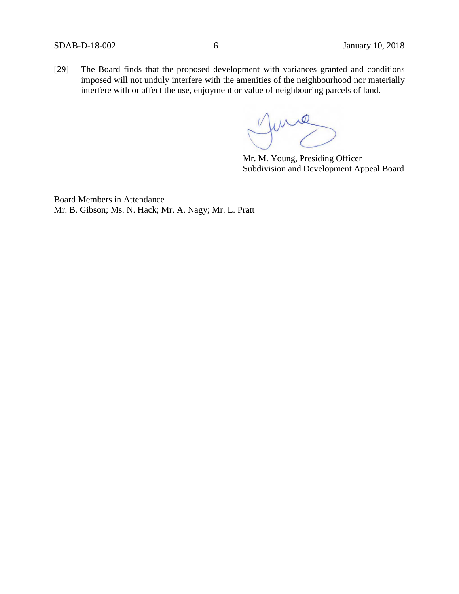[29] The Board finds that the proposed development with variances granted and conditions imposed will not unduly interfere with the amenities of the neighbourhood nor materially interfere with or affect the use, enjoyment or value of neighbouring parcels of land.

me

Mr. M. Young, Presiding Officer Subdivision and Development Appeal Board

Board Members in Attendance Mr. B. Gibson; Ms. N. Hack; Mr. A. Nagy; Mr. L. Pratt